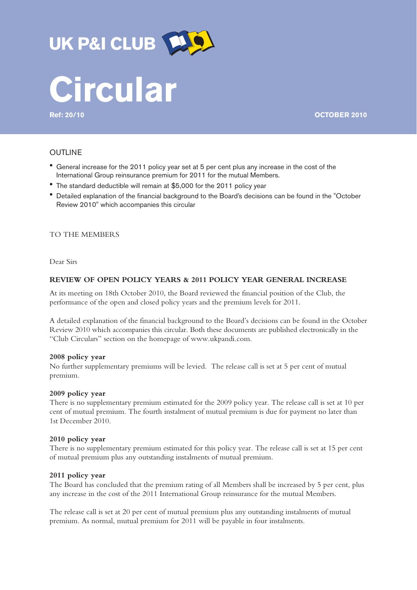

# UK P&I CLUB **[45]**

**Ref: 20/10 OCTOBER 2010**

# OUTLINE

- ! General increase for the 2011 policy year set at 5 per cent plus any increase in the cost of the International Group reinsurance premium for 2011 for the mutual Members.
- The standard deductible will remain at \$5,000 for the 2011 policy year
- ! Detailed explanation of the financial background to the Board's decisions can be found in the "October Review 2010" which accompanies this circular

## TO THE MEMBERS

Dear Sirs

## **REVIEW OF OPEN POLICY YEARS & 2011 POLICY YEAR GENERAL INCREASE**

At its meeting on 18th October 2010, the Board reviewed the financial position of the Club, the performance of the open and closed policy years and the premium levels for 2011.

A detailed explanation of the financial background to the Board's decisions can be found in the October Review 2010 which accompanies this circular. Both these documents are published electronically in the "Club Circulars" section on the homepage of www.ukpandi.com.

### **2008 policy year**

No further supplementary premiums will be levied. The release call is set at 5 per cent of mutual premium.

## **2009 policy year**

There is no supplementary premium estimated for the 2009 policy year. The release call is set at 10 per cent of mutual premium. The fourth instalment of mutual premium is due for payment no later than 1st December 2010.

#### **2010 policy year**

There is no supplementary premium estimated for this policy year. The release call is set at 15 per cent of mutual premium plus any outstanding instalments of mutual premium.

#### **2011 policy year**

The Board has concluded that the premium rating of all Members shall be increased by 5 per cent, plus any increase in the cost of the 2011 International Group reinsurance for the mutual Members.

The release call is set at 20 per cent of mutual premium plus any outstanding instalments of mutual premium. As normal, mutual premium for 2011 will be payable in four instalments.